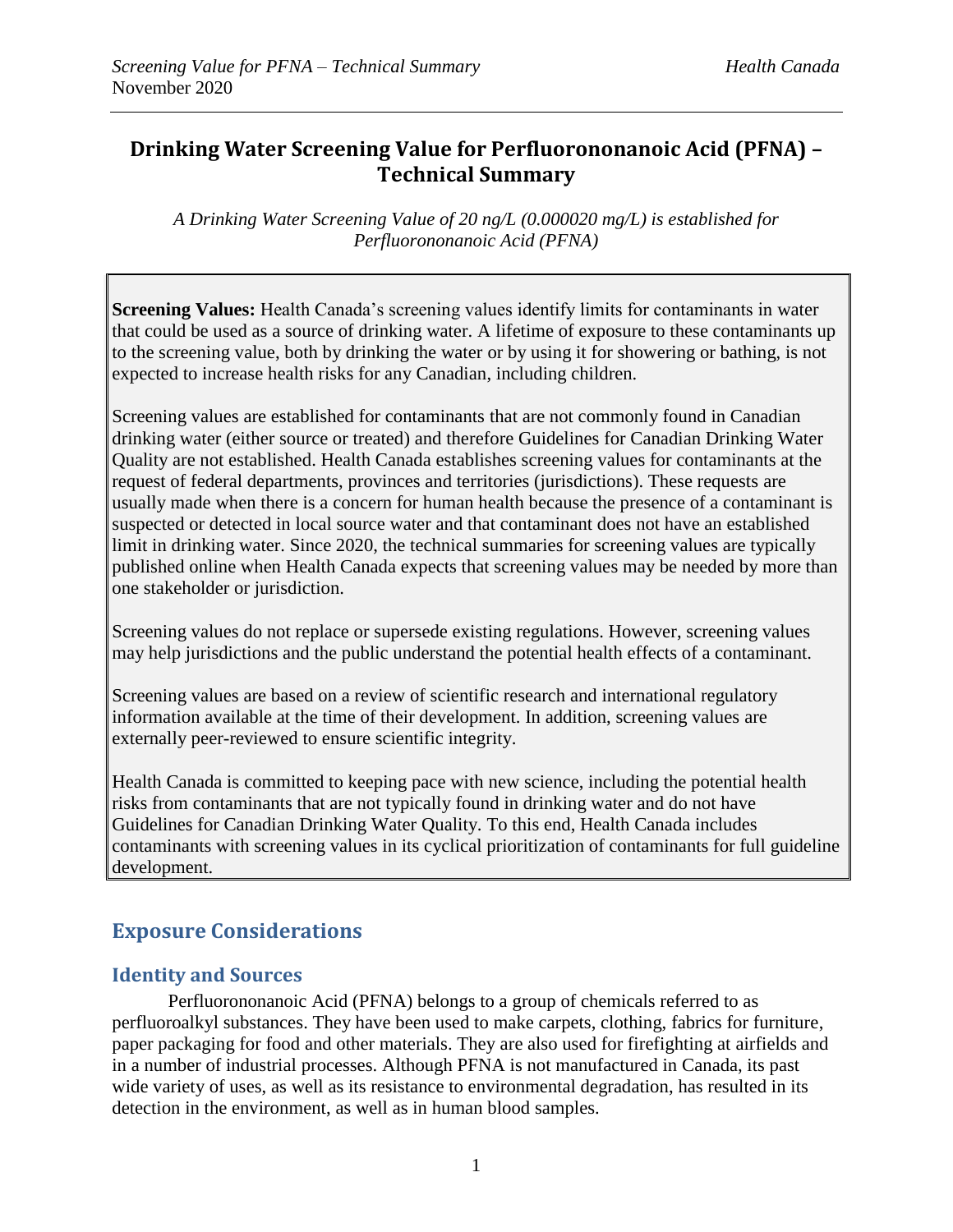## **Drinking Water Screening Value for Perfluorononanoic Acid (PFNA) – Technical Summary**

*A Drinking Water Screening Value of 20 ng/L (0.000020 mg/L) is established for Perfluorononanoic Acid (PFNA)*

**Screening Values:** Health Canada's screening values identify limits for contaminants in water that could be used as a source of drinking water. A lifetime of exposure to these contaminants up to the screening value, both by drinking the water or by using it for showering or bathing, is not expected to increase health risks for any Canadian, including children.

Screening values are established for contaminants that are not commonly found in Canadian drinking water (either source or treated) and therefore Guidelines for Canadian Drinking Water Quality are not established. Health Canada establishes screening values for contaminants at the request of federal departments, provinces and territories (jurisdictions). These requests are usually made when there is a concern for human health because the presence of a contaminant is suspected or detected in local source water and that contaminant does not have an established limit in drinking water. Since 2020, the technical summaries for screening values are typically published online when Health Canada expects that screening values may be needed by more than one stakeholder or jurisdiction.

Screening values do not replace or supersede existing regulations. However, screening values may help jurisdictions and the public understand the potential health effects of a contaminant.

Screening values are based on a review of scientific research and international regulatory information available at the time of their development. In addition, screening values are externally peer-reviewed to ensure scientific integrity.

Health Canada is committed to keeping pace with new science, including the potential health risks from contaminants that are not typically found in drinking water and do not have Guidelines for Canadian Drinking Water Quality. To this end, Health Canada includes contaminants with screening values in its cyclical prioritization of contaminants for full guideline development.

# **Exposure Considerations**

### **Identity and Sources**

Perfluorononanoic Acid (PFNA) belongs to a group of chemicals referred to as perfluoroalkyl substances. They have been used to make carpets, clothing, fabrics for furniture, paper packaging for food and other materials. They are also used for firefighting at airfields and in a number of industrial processes. Although PFNA is not manufactured in Canada, its past wide variety of uses, as well as its resistance to environmental degradation, has resulted in its detection in the environment, as well as in human blood samples.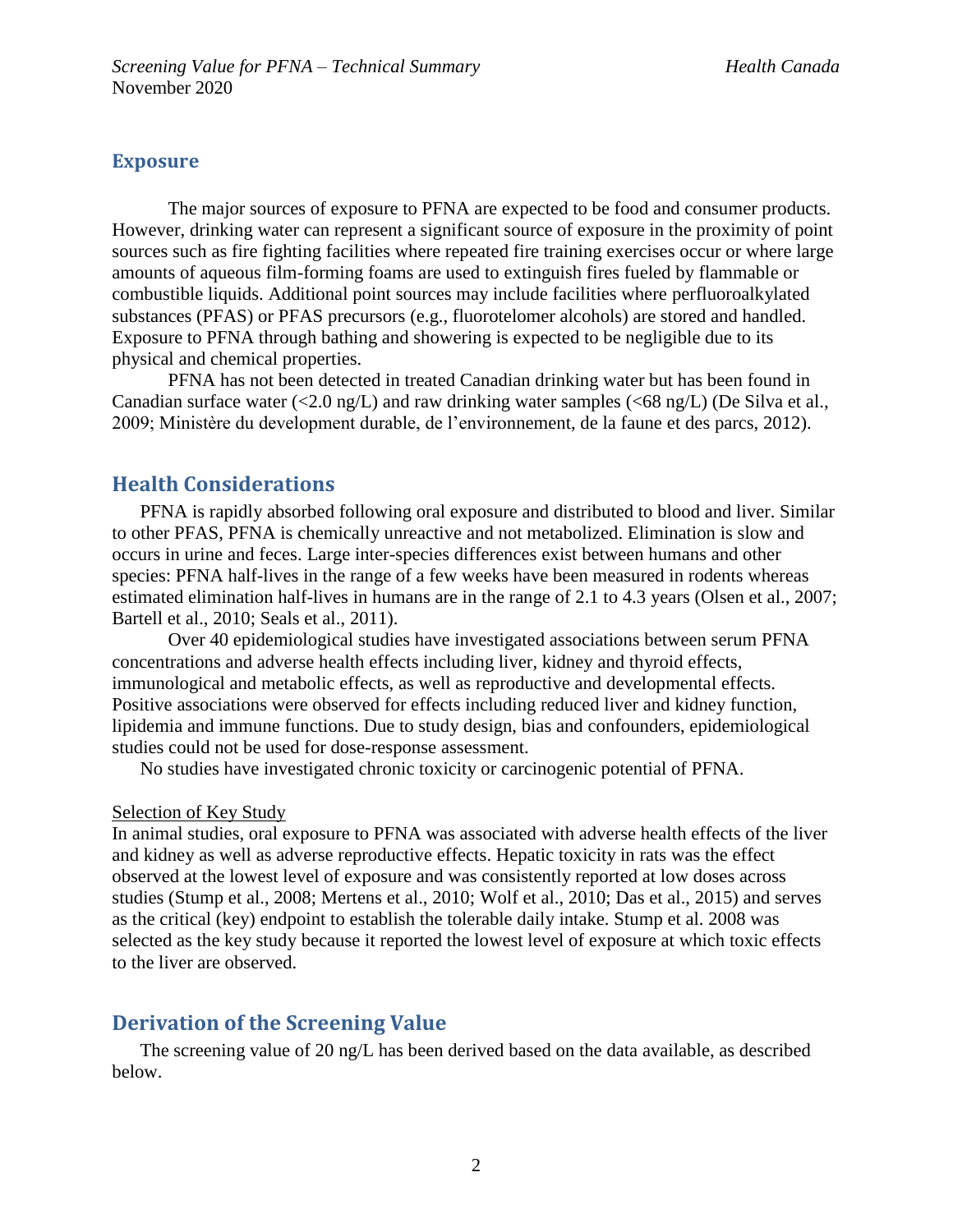#### **Exposure**

The major sources of exposure to PFNA are expected to be food and consumer products. However, drinking water can represent a significant source of exposure in the proximity of point sources such as fire fighting facilities where repeated fire training exercises occur or where large amounts of aqueous film-forming foams are used to extinguish fires fueled by flammable or combustible liquids. Additional point sources may include facilities where perfluoroalkylated substances (PFAS) or PFAS precursors (e.g., fluorotelomer alcohols) are stored and handled. Exposure to PFNA through bathing and showering is expected to be negligible due to its physical and chemical properties.

PFNA has not been detected in treated Canadian drinking water but has been found in Canadian surface water  $\langle 2.0 \text{ ng/L} \rangle$  and raw drinking water samples  $\langle 68 \text{ ng/L} \rangle$  (De Silva et al., 2009; Ministère du development durable, de l'environnement, de la faune et des parcs, 2012).

## **Health Considerations**

PFNA is rapidly absorbed following oral exposure and distributed to blood and liver. Similar to other PFAS, PFNA is chemically unreactive and not metabolized. Elimination is slow and occurs in urine and feces. Large inter-species differences exist between humans and other species: PFNA half-lives in the range of a few weeks have been measured in rodents whereas estimated elimination half-lives in humans are in the range of 2.1 to 4.3 years (Olsen et al., 2007; Bartell et al., 2010; Seals et al., 2011).

Over 40 epidemiological studies have investigated associations between serum PFNA concentrations and adverse health effects including liver, kidney and thyroid effects, immunological and metabolic effects, as well as reproductive and developmental effects. Positive associations were observed for effects including reduced liver and kidney function, lipidemia and immune functions. Due to study design, bias and confounders, epidemiological studies could not be used for dose-response assessment.

No studies have investigated chronic toxicity or carcinogenic potential of PFNA.

#### Selection of Key Study

In animal studies, oral exposure to PFNA was associated with adverse health effects of the liver and kidney as well as adverse reproductive effects. Hepatic toxicity in rats was the effect observed at the lowest level of exposure and was consistently reported at low doses across studies (Stump et al., 2008; Mertens et al., 2010; Wolf et al., 2010; Das et al., 2015) and serves as the critical (key) endpoint to establish the tolerable daily intake. Stump et al. 2008 was selected as the key study because it reported the lowest level of exposure at which toxic effects to the liver are observed.

### **Derivation of the Screening Value**

The screening value of 20 ng/L has been derived based on the data available, as described below.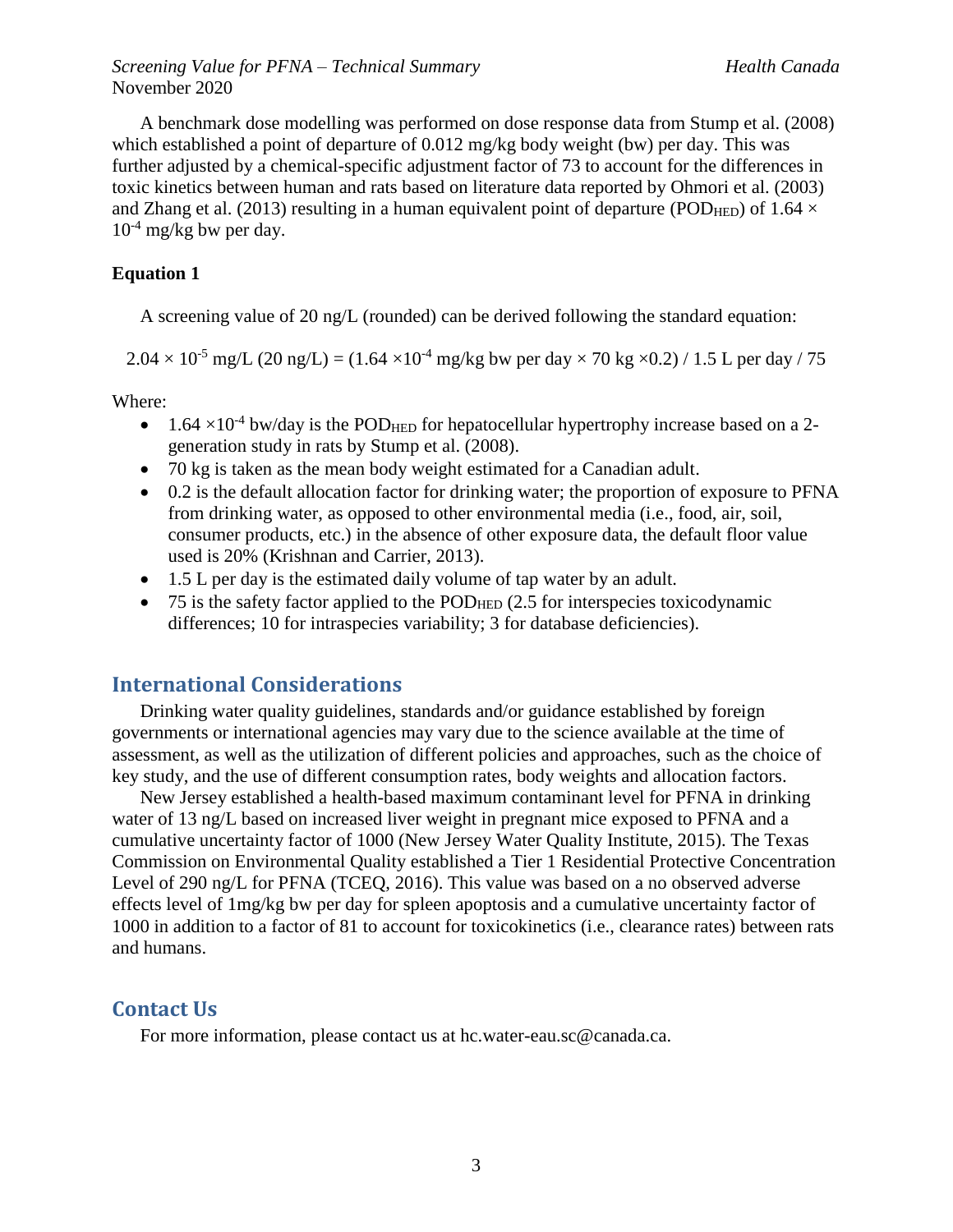*Screening Value for PFNA – Technical Summary Health Canada* November 2020

A benchmark dose modelling was performed on dose response data from Stump et al. (2008) which established a point of departure of 0.012 mg/kg body weight (bw) per day. This was further adjusted by a chemical-specific adjustment factor of 73 to account for the differences in toxic kinetics between human and rats based on literature data reported by Ohmori et al. (2003) and Zhang et al. (2013) resulting in a human equivalent point of departure (POD<sub>HED</sub>) of 1.64  $\times$  $10^{-4}$  mg/kg bw per day.

#### **Equation 1**

A screening value of 20 ng/L (rounded) can be derived following the standard equation:

 $2.04 \times 10^{-5}$  mg/L (20 ng/L) = (1.64 × 10<sup>-4</sup> mg/kg bw per day × 70 kg × 0.2) / 1.5 L per day / 75

Where:

- 1.64  $\times$ 10<sup>-4</sup> bw/day is the POD<sub>HED</sub> for hepatocellular hypertrophy increase based on a 2generation study in rats by Stump et al. (2008).
- 70 kg is taken as the mean body weight estimated for a Canadian adult.
- 0.2 is the default allocation factor for drinking water; the proportion of exposure to PFNA from drinking water, as opposed to other environmental media (i.e., food, air, soil, consumer products, etc.) in the absence of other exposure data, the default floor value used is 20% (Krishnan and Carrier, 2013).
- 1.5 L per day is the estimated daily volume of tap water by an adult.
- $\bullet$  75 is the safety factor applied to the POD<sub>HED</sub> (2.5 for interspecies toxicodynamic differences; 10 for intraspecies variability; 3 for database deficiencies).

#### **International Considerations**

Drinking water quality guidelines, standards and/or guidance established by foreign governments or international agencies may vary due to the science available at the time of assessment, as well as the utilization of different policies and approaches, such as the choice of key study, and the use of different consumption rates, body weights and allocation factors.

New Jersey established a health-based maximum contaminant level for PFNA in drinking water of 13 ng/L based on increased liver weight in pregnant mice exposed to PFNA and a cumulative uncertainty factor of 1000 (New Jersey Water Quality Institute, 2015). The Texas Commission on Environmental Quality established a Tier 1 Residential Protective Concentration Level of 290 ng/L for PFNA (TCEQ, 2016). This value was based on a no observed adverse effects level of 1mg/kg bw per day for spleen apoptosis and a cumulative uncertainty factor of 1000 in addition to a factor of 81 to account for toxicokinetics (i.e., clearance rates) between rats and humans.

#### **Contact Us**

For more information, please contact us at hc.water-eau.sc@canada.ca.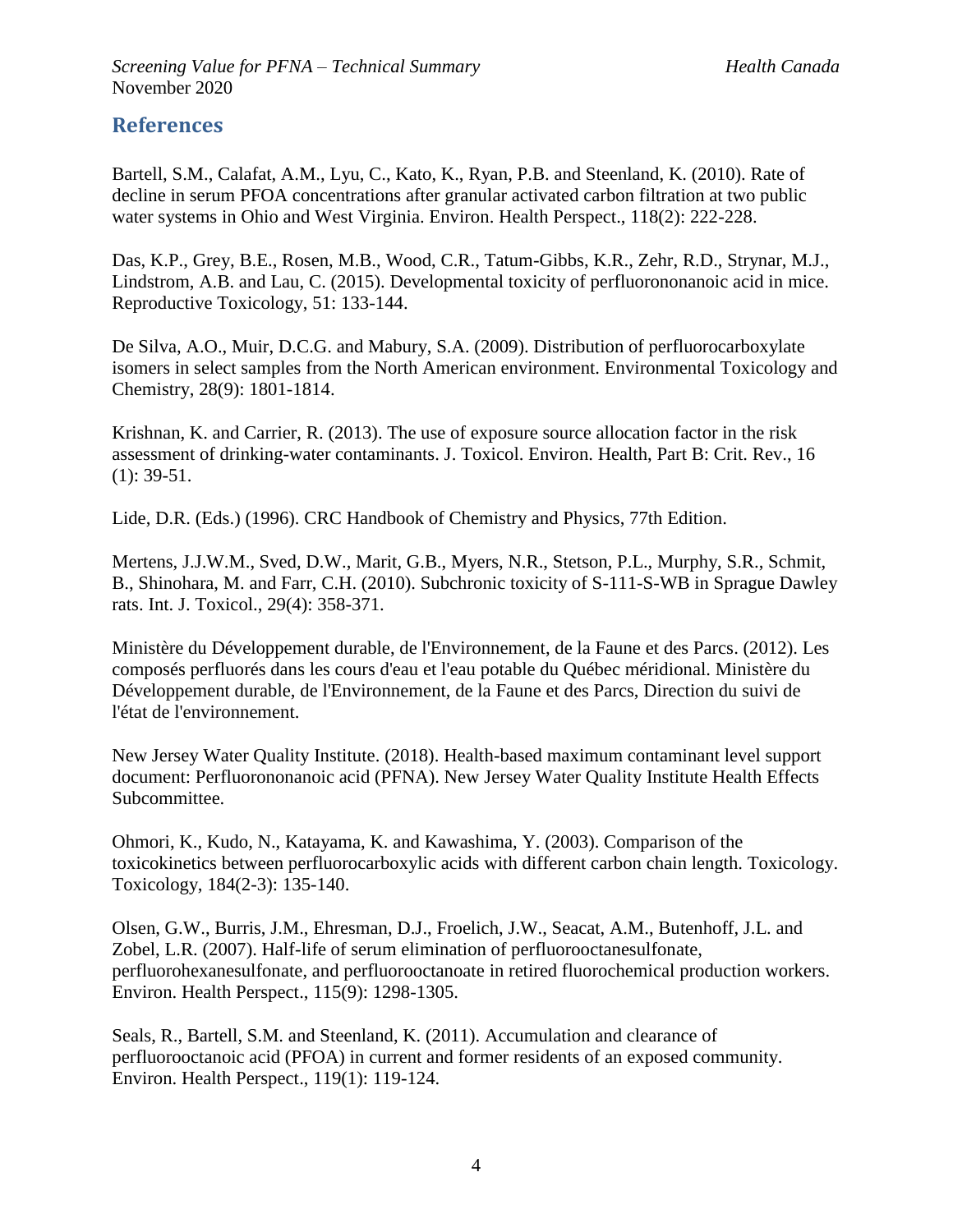## **References**

Bartell, S.M., Calafat, A.M., Lyu, C., Kato, K., Ryan, P.B. and Steenland, K. (2010). Rate of decline in serum PFOA concentrations after granular activated carbon filtration at two public water systems in Ohio and West Virginia. Environ. Health Perspect., 118(2): 222-228.

Das, K.P., Grey, B.E., Rosen, M.B., Wood, C.R., Tatum-Gibbs, K.R., Zehr, R.D., Strynar, M.J., Lindstrom, A.B. and Lau, C. (2015). Developmental toxicity of perfluorononanoic acid in mice. Reproductive Toxicology, 51: 133-144.

De Silva, A.O., Muir, D.C.G. and Mabury, S.A. (2009). Distribution of perfluorocarboxylate isomers in select samples from the North American environment. Environmental Toxicology and Chemistry, 28(9): 1801-1814.

Krishnan, K. and Carrier, R. (2013). The use of exposure source allocation factor in the risk assessment of drinking-water contaminants. J. Toxicol. Environ. Health, Part B: Crit. Rev., 16 (1): 39-51.

Lide, D.R. (Eds.) (1996). CRC Handbook of Chemistry and Physics, 77th Edition.

Mertens, J.J.W.M., Sved, D.W., Marit, G.B., Myers, N.R., Stetson, P.L., Murphy, S.R., Schmit, B., Shinohara, M. and Farr, C.H. (2010). Subchronic toxicity of S-111-S-WB in Sprague Dawley rats. Int. J. Toxicol., 29(4): 358-371.

Ministère du Développement durable, de l'Environnement, de la Faune et des Parcs. (2012). Les composés perfluorés dans les cours d'eau et l'eau potable du Québec méridional. Ministère du Développement durable, de l'Environnement, de la Faune et des Parcs, Direction du suivi de l'état de l'environnement.

New Jersey Water Quality Institute. (2018). Health-based maximum contaminant level support document: Perfluorononanoic acid (PFNA). New Jersey Water Quality Institute Health Effects Subcommittee.

Ohmori, K., Kudo, N., Katayama, K. and Kawashima, Y. (2003). Comparison of the toxicokinetics between perfluorocarboxylic acids with different carbon chain length. Toxicology. Toxicology, 184(2-3): 135-140.

Olsen, G.W., Burris, J.M., Ehresman, D.J., Froelich, J.W., Seacat, A.M., Butenhoff, J.L. and Zobel, L.R. (2007). Half-life of serum elimination of perfluorooctanesulfonate, perfluorohexanesulfonate, and perfluorooctanoate in retired fluorochemical production workers. Environ. Health Perspect., 115(9): 1298-1305.

Seals, R., Bartell, S.M. and Steenland, K. (2011). Accumulation and clearance of perfluorooctanoic acid (PFOA) in current and former residents of an exposed community. Environ. Health Perspect., 119(1): 119-124.